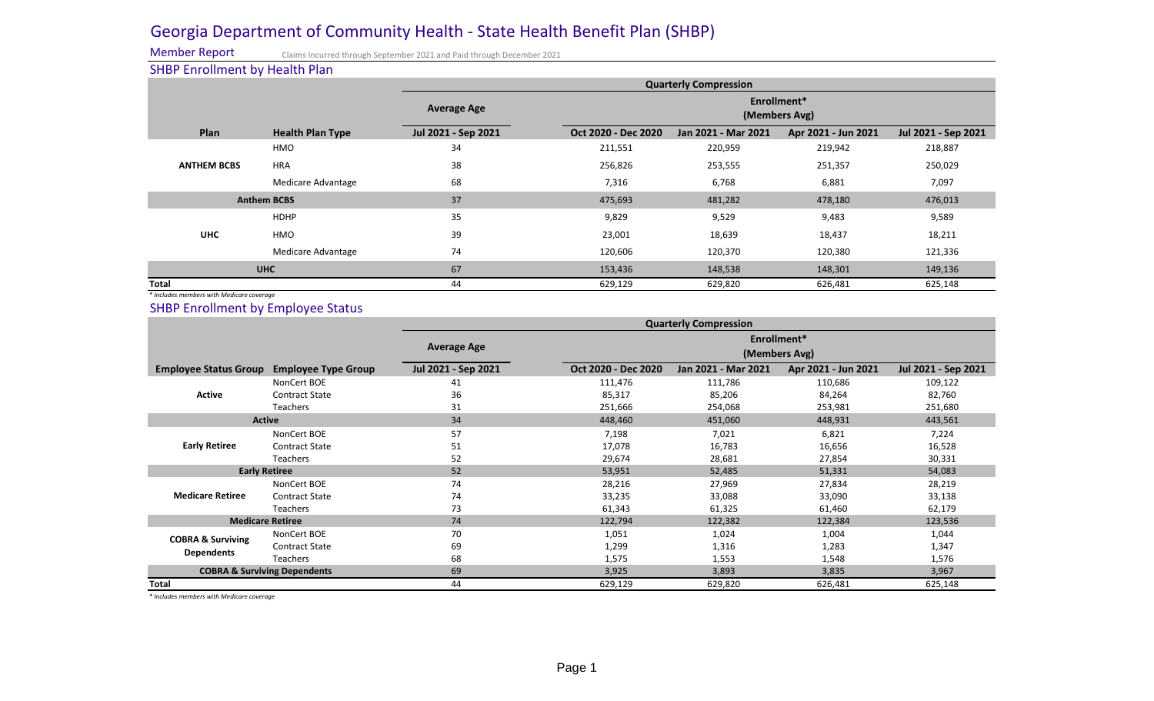# Georgia Department of Community Health - State Health Benefit Plan (SHBP)

Member Report SHBP Enrollment by Health Plan

| <u>STIDI ENII SINII SINI MYI I SAISII TANI</u>                                         |                            | <b>Quarterly Compression</b> |                              |                              |                     |                     |
|----------------------------------------------------------------------------------------|----------------------------|------------------------------|------------------------------|------------------------------|---------------------|---------------------|
|                                                                                        |                            | <b>Average Age</b>           |                              | Enrollment*<br>(Members Avg) |                     |                     |
| Plan                                                                                   | <b>Health Plan Type</b>    | Jul 2021 - Sep 2021          | Oct 2020 - Dec 2020          | Jan 2021 - Mar 2021          | Apr 2021 - Jun 2021 | Jul 2021 - Sep 2021 |
|                                                                                        | <b>HMO</b>                 | 34                           | 211,551                      | 220,959                      | 219,942             | 218,887             |
| <b>ANTHEM BCBS</b>                                                                     | <b>HRA</b>                 | 38                           | 256,826                      | 253,555                      | 251,357             | 250,029             |
|                                                                                        | <b>Medicare Advantage</b>  | 68                           | 7,316                        | 6,768                        | 6,881               | 7,097               |
| <b>Anthem BCBS</b>                                                                     |                            | 37                           | 475,693                      | 481,282                      | 478,180             | 476,013             |
| <b>UHC</b>                                                                             | <b>HDHP</b>                | 35                           | 9,829                        | 9,529                        | 9,483               | 9,589               |
|                                                                                        | <b>HMO</b>                 | 39                           | 23,001                       | 18,639                       | 18,437              | 18,211              |
|                                                                                        | <b>Medicare Advantage</b>  | 74                           | 120,606                      | 120,370                      | 120,380             | 121,336             |
| <b>UHC</b>                                                                             |                            | 67                           | 153,436                      | 148,538                      | 148,301             | 149,136             |
| <b>Total</b>                                                                           |                            | 44                           | 629,129                      | 629,820                      | 626,481             | 625,148             |
| * Includes members with Medicare coverage<br><b>SHBP Enrollment by Employee Status</b> |                            |                              |                              | <b>Quarterly Compression</b> |                     |                     |
|                                                                                        |                            |                              | Enrollment*<br>(Members Avg) |                              |                     |                     |
|                                                                                        |                            | <b>Average Age</b>           |                              |                              |                     |                     |
| <b>Employee Status Group</b>                                                           | <b>Employee Type Group</b> | Jul 2021 - Sep 2021          | Oct 2020 - Dec 2020          | Jan 2021 - Mar 2021          | Apr 2021 - Jun 2021 | Jul 2021 - Sep 2021 |
|                                                                                        | <b>NonCert BOE</b>         | 41                           | 111,476                      | 111,786                      | 110,686             | 109,122             |
| <b>Active</b>                                                                          | <b>Contract State</b>      | 36                           | 85,317                       | 85,206                       | 84,264              | 82,760              |
|                                                                                        | <b>Teachers</b>            | 31                           | 251,666                      | 254,068                      | 253,981             | 251,680             |
|                                                                                        | <b>Active</b>              | 34                           | 448,460                      | 451,060                      | 448,931             | 443,561             |
|                                                                                        | <b>NonCert BOE</b>         | 57                           | 7,198                        | 7,021                        | 6,821               | 7,224               |
| <b>Early Retiree</b>                                                                   | <b>Contract State</b>      | 51                           | 17,078                       | 16,783                       | 16,656              | 16,528              |
|                                                                                        | <b>Teachers</b>            | 52                           | 29,674                       | 28,681                       | 27,854              | 30,331              |
| <b>Early Retiree</b>                                                                   |                            | 52                           | 53,951                       | 52,485                       | 51,331              | 54,083              |
|                                                                                        | <b>NonCert BOE</b>         | 74                           | 28,216                       | 27,969                       | 27,834              | 28,219              |
| <b>Medicare Retiree</b>                                                                | <b>Contract State</b>      | 74                           | 33,235                       | 33,088                       | 33,090              | 33,138              |
|                                                                                        | Teachers                   | 73                           | 61,343                       | 61,325                       | 61,460              | 62,179              |
|                                                                                        | <b>Medicare Retiree</b>    | 74                           | 122,794                      | 122,382                      | 122,384             | 123,536             |
|                                                                                        | <b>NonCert BOE</b>         | 70                           | 1,051                        | 1,024                        | 1,004               | 1,044               |
| <b>COBRA &amp; Surviving</b>                                                           | <b>Contract State</b>      | 69                           | 1,299                        | 1,316                        | 1,283               | 1,347               |
| <b>Dependents</b>                                                                      | Teachers                   | 68                           | 1,575                        | 1,553                        | 1,548               | 1,576               |
| <b>COBRA &amp; Surviving Dependents</b>                                                |                            | 69                           | 3,925                        | 3,893                        | 3,835               | 3,967               |

*\* Includes members with Medicare coverage*

Claims Incurred through September 2021 and Paid through December 2021